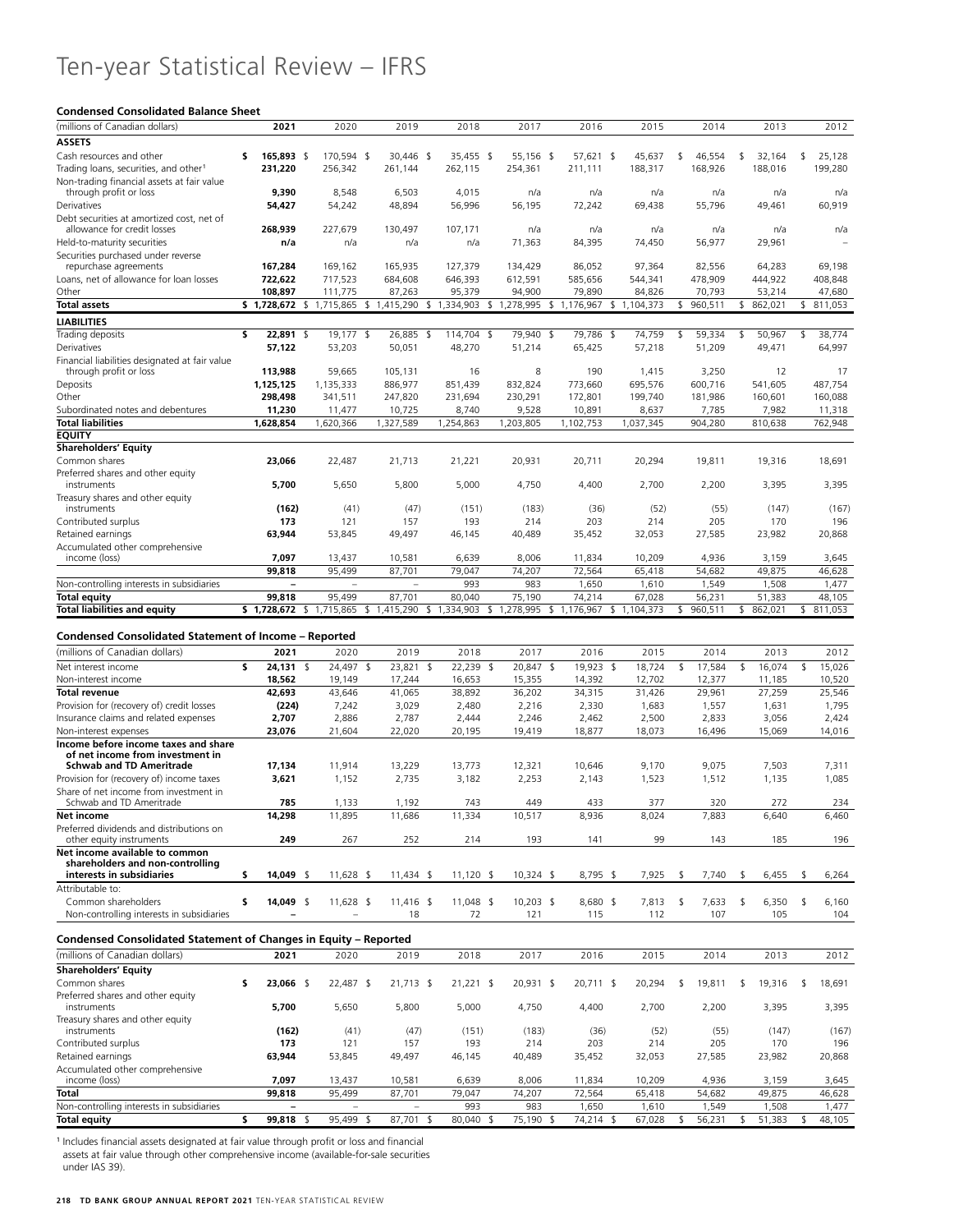## Ten-year Statistical Review – IFRS

## **Condensed Consolidated Balance Sheet**

| (millions of Canadian dollars)                                      | 2021                                   | 2020                |           | 2019                     |     | 2018                                |  | 2017                    |     | 2016                | 2015               |    | 2014             | 2013             |               | 2012              |
|---------------------------------------------------------------------|----------------------------------------|---------------------|-----------|--------------------------|-----|-------------------------------------|--|-------------------------|-----|---------------------|--------------------|----|------------------|------------------|---------------|-------------------|
| <b>ASSETS</b>                                                       |                                        |                     |           |                          |     |                                     |  |                         |     |                     |                    |    |                  |                  |               |                   |
| Cash resources and other                                            | 165,893 \$<br>s                        | 170,594 \$          |           | 30,446 \$                |     | 35,455 \$                           |  | 55,156 \$               |     | 57,621 \$           | 45,637             | \$ | 46,554           | \$<br>32,164     | \$            | 25,128            |
| Trading loans, securities, and other <sup>1</sup>                   | 231,220                                | 256,342             |           | 261,144                  |     | 262,115                             |  | 254,361                 |     | 211,111             | 188,317            |    | 168,926          | 188,016          |               | 199,280           |
| Non-trading financial assets at fair value                          |                                        |                     |           |                          |     |                                     |  |                         |     |                     |                    |    |                  |                  |               |                   |
| through profit or loss                                              | 9,390                                  | 8,548               |           | 6,503                    |     | 4,015                               |  | n/a                     |     | n/a                 | n/a                |    | n/a              | n/a              |               | n/a               |
| Derivatives                                                         | 54,427                                 | 54,242              |           | 48,894                   |     | 56,996                              |  | 56,195                  |     | 72,242              | 69,438             |    | 55,796           | 49,461           |               | 60,919            |
| Debt securities at amortized cost, net of                           |                                        |                     |           |                          |     |                                     |  |                         |     |                     |                    |    |                  |                  |               |                   |
| allowance for credit losses                                         | 268,939                                | 227,679             |           | 130,497                  |     | 107,171                             |  | n/a                     |     | n/a                 | n/a                |    | n/a              | n/a              |               | n/a               |
| Held-to-maturity securities                                         | n/a                                    |                     | n/a       | n/a                      |     | n/a                                 |  | 71,363                  |     | 84,395              | 74,450             |    | 56,977           | 29,961           |               |                   |
| Securities purchased under reverse                                  |                                        |                     |           |                          |     |                                     |  |                         |     |                     |                    |    |                  |                  |               |                   |
| repurchase agreements                                               | 167,284                                | 169,162             |           | 165,935                  |     | 127,379                             |  | 134,429                 |     | 86,052              | 97,364             |    | 82,556           | 64,283           |               | 69,198            |
| Loans, net of allowance for loan losses                             | 722,622                                | 717,523             |           | 684,608                  |     | 646,393                             |  | 612,591                 |     | 585,656             | 544,341            |    | 478,909          | 444,922          |               | 408,848           |
| Other                                                               | 108.897                                | 111,775             |           | 87,263                   |     | 95,379                              |  | 94,900                  |     | 79,890              | 84,826             |    | 70,793           | 53,214           |               | 47,680            |
| <b>Total assets</b>                                                 | \$ 1,728,672 \$ 1,715,865 \$ 1,415,290 |                     |           |                          |     | \$1,334,903 \$1,278,995 \$1,176,967 |  |                         |     |                     | \$1,104,373        | \$ | 960,511          | \$862,021        |               | \$ 811,053        |
| <b>LIABILITIES</b>                                                  |                                        |                     |           |                          |     |                                     |  |                         |     |                     |                    |    |                  |                  |               |                   |
| Trading deposits                                                    | \$<br>22,891 \$                        | 19,177 \$           |           | 26,885                   | -\$ | 114,704 \$                          |  | 79,940                  | -\$ | 79,786              | -\$<br>74,759      | \$ | 59,334           | \$<br>50,967     | \$            | 38,774            |
| Derivatives                                                         | 57,122                                 | 53,203              |           | 50,051                   |     | 48,270                              |  | 51,214                  |     | 65,425              | 57,218             |    | 51,209           | 49,471           |               | 64,997            |
| Financial liabilities designated at fair value                      |                                        |                     |           |                          |     |                                     |  |                         |     |                     |                    |    |                  |                  |               |                   |
| through profit or loss                                              | 113,988                                | 59,665              |           | 105,131                  |     | 16                                  |  | 8                       |     | 190                 | 1,415              |    | 3,250            | 12               |               | 17                |
| Deposits                                                            | 1,125,125                              | 1,135,333           |           | 886,977                  |     | 851,439                             |  | 832,824                 |     | 773,660             | 695,576            |    | 600,716          | 541,605          |               | 487,754           |
| Other                                                               | 298,498                                | 341,511             |           | 247,820                  |     | 231,694                             |  | 230,291                 |     | 172,801             | 199,740            |    | 181,986          | 160,601          |               | 160,088           |
| Subordinated notes and debentures<br><b>Total liabilities</b>       | 11,230<br>1,628,854                    | 11,477<br>1,620,366 |           | 10,725<br>1,327,589      |     | 8,740<br>1,254,863                  |  | 9,528<br>1,203,805      |     | 10,891<br>1,102,753 | 8,637<br>1,037,345 |    | 7,785<br>904,280 | 7,982<br>810,638 |               | 11,318<br>762,948 |
| <b>EQUITY</b>                                                       |                                        |                     |           |                          |     |                                     |  |                         |     |                     |                    |    |                  |                  |               |                   |
| <b>Shareholders' Equity</b>                                         |                                        |                     |           |                          |     |                                     |  |                         |     |                     |                    |    |                  |                  |               |                   |
| Common shares                                                       | 23,066                                 | 22,487              |           | 21,713                   |     | 21,221                              |  | 20,931                  |     | 20,711              | 20,294             |    | 19,811           | 19,316           |               | 18,691            |
| Preferred shares and other equity                                   |                                        |                     |           |                          |     |                                     |  |                         |     |                     |                    |    |                  |                  |               |                   |
| instruments                                                         | 5,700                                  | 5,650               |           | 5,800                    |     | 5,000                               |  | 4,750                   |     | 4,400               | 2,700              |    | 2,200            | 3,395            |               | 3,395             |
| Treasury shares and other equity                                    |                                        |                     |           |                          |     |                                     |  |                         |     |                     |                    |    |                  |                  |               |                   |
| instruments                                                         | (162)                                  |                     | (41)      | (47)                     |     | (151)                               |  | (183)                   |     | (36)                | (52)               |    | (55)             | (147)            |               | (167)             |
| Contributed surplus                                                 | 173                                    | 121                 |           | 157                      |     | 193                                 |  | 214                     |     | 203                 | 214                |    | 205              | 170              |               | 196               |
| Retained earnings                                                   | 63,944                                 | 53,845              |           | 49,497                   |     | 46,145                              |  | 40,489                  |     | 35,452              | 32,053             |    | 27,585           | 23,982           |               | 20,868            |
| Accumulated other comprehensive                                     |                                        |                     |           |                          |     |                                     |  |                         |     |                     |                    |    |                  |                  |               |                   |
| income (loss)                                                       | 7,097                                  | 13,437              |           | 10,581                   |     | 6,639                               |  | 8,006                   |     | 11,834              | 10,209             |    | 4,936            | 3,159            |               | 3,645             |
|                                                                     | 99,818                                 | 95,499              |           | 87,701                   |     | 79,047                              |  | 74,207                  |     | 72,564              | 65,418             |    | 54,682           | 49,875           |               | 46,628            |
| Non-controlling interests in subsidiaries                           |                                        |                     |           |                          |     | 993                                 |  | 983                     |     | 1,650               | 1,610              |    | 1,549            | 1,508            |               | 1,477             |
| <b>Total equity</b>                                                 | 99,818                                 | 95,499              |           | 87,701                   |     | 80,040                              |  | 75,190                  |     | 74,214              | 67,028             |    | 56,231           | 51,383           |               | 48,105            |
| Total liabilities and equity                                        | \$1,728,672 \$1,715,865                |                     |           | \$1,415,290              |     | \$1,334,903                         |  | \$1,278,995 \$1,176,967 |     |                     | \$1,104,373        | \$ | 960,511          | \$<br>862,021    | \$            | 811,053           |
|                                                                     |                                        |                     |           |                          |     |                                     |  |                         |     |                     |                    |    |                  |                  |               |                   |
| <b>Condensed Consolidated Statement of Income - Reported</b>        |                                        |                     |           |                          |     |                                     |  |                         |     |                     |                    |    |                  |                  |               |                   |
| (millions of Canadian dollars)                                      | 2021                                   | 2020                |           | 2019                     |     | 2018                                |  | 2017                    |     | 2016                | 2015               |    | 2014             | 2013             |               | 2012              |
| Net interest income                                                 | \$<br>$24,131$ \$                      |                     | 24,497 \$ | 23,821 \$                |     | 22,239 \$                           |  | 20,847 \$               |     | 19,923 \$           | 18,724             | \$ | 17,584           | \$<br>16,074     | $\mathsf{\$}$ | 15,026            |
| Non-interest income                                                 | 18,562                                 | 19,149              |           | 17,244                   |     | 16,653                              |  | 15,355                  |     | 14,392              | 12,702             |    | 12,377           | 11,185           |               | 10,520            |
| <b>Total revenue</b>                                                | 42,693                                 | 43,646              |           | 41,065                   |     | 38,892                              |  | 36,202                  |     | 34,315              | 31,426             |    | 29,961           | 27,259           |               | 25,546            |
| Provision for (recovery of) credit losses                           | (224)                                  | 7,242               |           | 3,029                    |     | 2,480                               |  | 2,216                   |     | 2,330               | 1,683              |    | 1,557            | 1,631            |               | 1,795             |
| Insurance claims and related expenses                               | 2,707                                  | 2,886               |           | 2,787                    |     | 2,444                               |  | 2,246                   |     | 2,462               | 2,500              |    | 2,833            | 3,056            |               | 2,424             |
| Non-interest expenses                                               | 23,076                                 | 21,604              |           | 22,020                   |     | 20,195                              |  | 19,419                  |     | 18,877              | 18,073             |    | 16,496           | 15,069           |               | 14,016            |
| Income before income taxes and share                                |                                        |                     |           |                          |     |                                     |  |                         |     |                     |                    |    |                  |                  |               |                   |
| of net income from investment in<br><b>Schwab and TD Ameritrade</b> | 17,134                                 | 11,914              |           | 13,229                   |     | 13,773                              |  | 12,321                  |     | 10,646              | 9,170              |    | 9,075            | 7,503            |               | 7,311             |
| Provision for (recovery of) income taxes                            | 3,621                                  | 1,152               |           | 2,735                    |     | 3,182                               |  | 2,253                   |     | 2,143               | 1,523              |    | 1,512            | 1,135            |               | 1,085             |
| Share of net income from investment in                              |                                        |                     |           |                          |     |                                     |  |                         |     |                     |                    |    |                  |                  |               |                   |
| Schwab and TD Ameritrade                                            | 785                                    | 1,133               |           | 1,192                    |     | 743                                 |  | 449                     |     | 433                 | 377                |    | 320              | 272              |               | 234               |
| Net income                                                          | 14,298                                 | 11,895              |           | 11,686                   |     | 11,334                              |  | 10,517                  |     | 8,936               | 8,024              |    | 7,883            | 6,640            |               | 6,460             |
| Preferred dividends and distributions on                            |                                        |                     |           |                          |     |                                     |  |                         |     |                     |                    |    |                  |                  |               |                   |
| other equity instruments                                            | 249                                    | 267                 |           | 252                      |     | 214                                 |  | 193                     |     | 141                 | 99                 |    | 143              | 185              |               | 196               |
| Net income available to common                                      |                                        |                     |           |                          |     |                                     |  |                         |     |                     |                    |    |                  |                  |               |                   |
| shareholders and non-controlling                                    |                                        |                     |           |                          |     |                                     |  |                         |     |                     |                    |    |                  |                  |               |                   |
| interests in subsidiaries                                           | 14,049 \$<br>\$                        | 11,628 \$           |           | 11,434 \$                |     | 11,120 \$                           |  | 10,324 \$               |     | 8,795 \$            | 7,925              | \$ | 7,740            | \$<br>6,455      | -S            | 6,264             |
| Attributable to:                                                    |                                        |                     |           |                          |     |                                     |  |                         |     |                     |                    |    |                  |                  |               |                   |
| Common shareholders                                                 | \$<br>14,049 \$                        | 11,628 \$           |           | 11,416 \$                |     | 11,048 \$                           |  | 10,203 \$               |     | 8,680 \$            | 7,813              | \$ | 7,633            | \$<br>6,350      | \$            | 6,160             |
| Non-controlling interests in subsidiaries                           |                                        |                     |           | 18                       |     | 72                                  |  | 121                     |     | 115                 | 112                |    | 107              | 105              |               | 104               |
| Condensed Consolidated Statement of Changes in Equity - Reported    |                                        |                     |           |                          |     |                                     |  |                         |     |                     |                    |    |                  |                  |               |                   |
|                                                                     |                                        |                     |           |                          |     |                                     |  |                         |     |                     |                    |    |                  |                  |               |                   |
| (millions of Canadian dollars)                                      |                                        |                     |           | 2019                     |     | 2018                                |  | 2017                    |     | 2016                | 2015               |    | 2014             | 2013             |               | 2012              |
| <b>Shareholders' Equity</b>                                         | 2021                                   | 2020                |           |                          |     |                                     |  |                         |     |                     |                    |    |                  |                  |               |                   |
|                                                                     |                                        |                     |           |                          |     |                                     |  |                         |     |                     |                    |    |                  |                  |               | 18,691            |
| Common shares                                                       | \$<br>23,066 \$                        |                     | 22,487 \$ | 21,713 \$                |     | $21,221$ \$                         |  | 20,931 \$               |     | 20,711 \$           | 20,294             | \$ | 19,811           | \$<br>19,316     | \$            |                   |
| Preferred shares and other equity                                   |                                        |                     |           |                          |     |                                     |  |                         |     |                     |                    |    |                  |                  |               |                   |
| instruments                                                         | 5,700                                  | 5,650               |           | 5,800                    |     | 5,000                               |  | 4,750                   |     | 4,400               | 2,700              |    | 2,200            | 3,395            |               | 3,395             |
| Treasury shares and other equity                                    |                                        |                     |           |                          |     |                                     |  |                         |     |                     |                    |    |                  |                  |               |                   |
| instruments                                                         | (162)                                  |                     | (41)      | (47)                     |     | (151)                               |  | (183)                   |     | (36)                | (52)               |    | (55)             | (147)            |               | (167)             |
| Contributed surplus                                                 | 173                                    | 121                 |           | 157                      |     | 193                                 |  | 214                     |     | 203                 | 214                |    | 205              | 170              |               | 196               |
| Retained earnings                                                   | 63,944                                 | 53,845              |           | 49,497                   |     | 46,145                              |  | 40,489                  |     | 35,452              | 32,053             |    | 27,585           | 23,982           |               | 20,868            |
| Accumulated other comprehensive<br>income (loss)                    | 7,097                                  | 13,437              |           | 10,581                   |     | 6,639                               |  | 8,006                   |     | 11,834              | 10,209             |    | 4,936            | 3,159            |               | 3,645             |
| Total                                                               | 99,818                                 | 95,499              |           | 87,701                   |     | 79,047                              |  | 74,207                  |     | 72,564              |                    |    | 54,682           | 49,875           |               | 46,628            |
| Non-controlling interests in subsidiaries                           | $\overline{\phantom{a}}$               |                     |           | $\overline{\phantom{a}}$ |     | 993                                 |  | 983                     |     | 1,650               | 65,418<br>1,610    |    | 1,549            | 1,508            |               | 1,477             |
| Total equity                                                        | \$<br>99,818 \$                        | 95,499 \$           |           | 87,701 \$                |     | 80,040 \$                           |  | 75,190 \$               |     | 74,214 \$           | 67,028             | \$ | 56,231           | \$<br>51,383     | \$            | 48,105            |

<sup>1</sup> Includes financial assets designated at fair value through profit or loss and financial assets at fair value through other comprehensive income (available-for-sale securities under IAS 39).